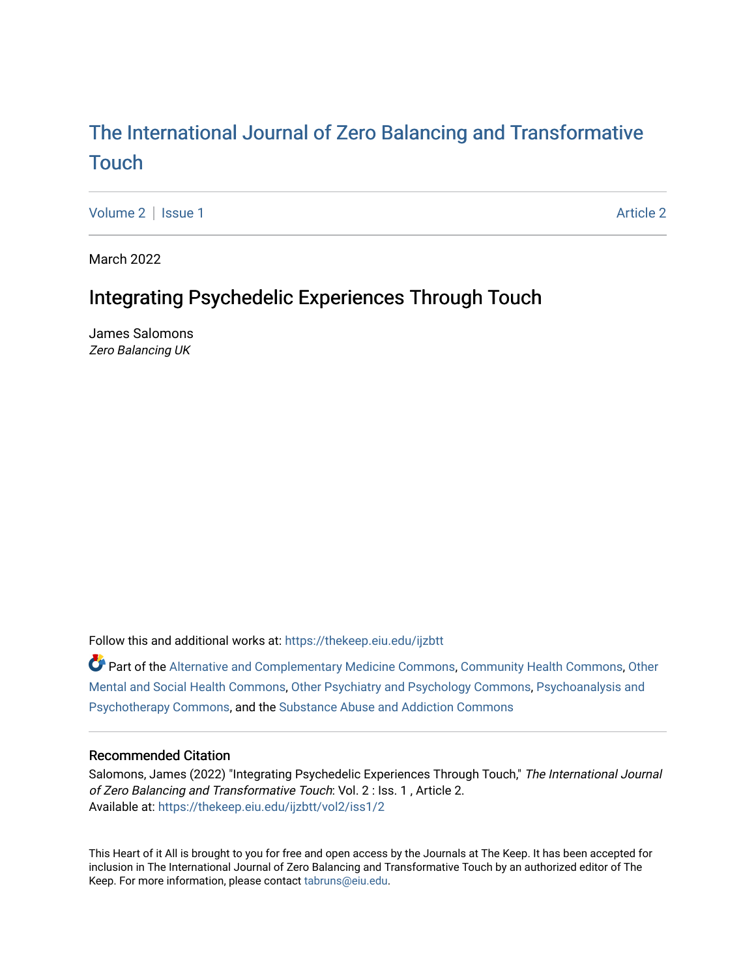# The International [Journal of Zero Balancing and T](https://thekeep.eiu.edu/ijzbtt)ransformative [Touch](https://thekeep.eiu.edu/ijzbtt)

[Volume 2](https://thekeep.eiu.edu/ijzbtt/vol2) | [Issue 1](https://thekeep.eiu.edu/ijzbtt/vol2/iss1) [Article 2](https://thekeep.eiu.edu/ijzbtt/vol2/iss1/2) | Article 2 Article 2 | Article 2 | Article 2 | Article 2 | Article 2 | Article 2

March 2022

# Integrating Psychedelic Experiences Through Touch

James Salomons Zero Balancing UK

Follow this and additional works at: [https://thekeep.eiu.edu/ijzbtt](https://thekeep.eiu.edu/ijzbtt?utm_source=thekeep.eiu.edu%2Fijzbtt%2Fvol2%2Fiss1%2F2&utm_medium=PDF&utm_campaign=PDFCoverPages) 

Part of the [Alternative and Complementary Medicine Commons,](http://network.bepress.com/hgg/discipline/649?utm_source=thekeep.eiu.edu%2Fijzbtt%2Fvol2%2Fiss1%2F2&utm_medium=PDF&utm_campaign=PDFCoverPages) [Community Health Commons,](http://network.bepress.com/hgg/discipline/714?utm_source=thekeep.eiu.edu%2Fijzbtt%2Fvol2%2Fiss1%2F2&utm_medium=PDF&utm_campaign=PDFCoverPages) [Other](http://network.bepress.com/hgg/discipline/717?utm_source=thekeep.eiu.edu%2Fijzbtt%2Fvol2%2Fiss1%2F2&utm_medium=PDF&utm_campaign=PDFCoverPages) [Mental and Social Health Commons,](http://network.bepress.com/hgg/discipline/717?utm_source=thekeep.eiu.edu%2Fijzbtt%2Fvol2%2Fiss1%2F2&utm_medium=PDF&utm_campaign=PDFCoverPages) [Other Psychiatry and Psychology Commons](http://network.bepress.com/hgg/discipline/992?utm_source=thekeep.eiu.edu%2Fijzbtt%2Fvol2%2Fiss1%2F2&utm_medium=PDF&utm_campaign=PDFCoverPages), [Psychoanalysis and](http://network.bepress.com/hgg/discipline/716?utm_source=thekeep.eiu.edu%2Fijzbtt%2Fvol2%2Fiss1%2F2&utm_medium=PDF&utm_campaign=PDFCoverPages)  [Psychotherapy Commons](http://network.bepress.com/hgg/discipline/716?utm_source=thekeep.eiu.edu%2Fijzbtt%2Fvol2%2Fiss1%2F2&utm_medium=PDF&utm_campaign=PDFCoverPages), and the [Substance Abuse and Addiction Commons](http://network.bepress.com/hgg/discipline/710?utm_source=thekeep.eiu.edu%2Fijzbtt%2Fvol2%2Fiss1%2F2&utm_medium=PDF&utm_campaign=PDFCoverPages)

#### Recommended Citation

Salomons, James (2022) "Integrating Psychedelic Experiences Through Touch," The International Journal of Zero Balancing and Transformative Touch: Vol. 2 : Iss. 1 , Article 2. Available at: [https://thekeep.eiu.edu/ijzbtt/vol2/iss1/2](https://thekeep.eiu.edu/ijzbtt/vol2/iss1/2?utm_source=thekeep.eiu.edu%2Fijzbtt%2Fvol2%2Fiss1%2F2&utm_medium=PDF&utm_campaign=PDFCoverPages) 

This Heart of it All is brought to you for free and open access by the Journals at The Keep. It has been accepted for inclusion in The International Journal of Zero Balancing and Transformative Touch by an authorized editor of The Keep. For more information, please contact [tabruns@eiu.edu](mailto:tabruns@eiu.edu).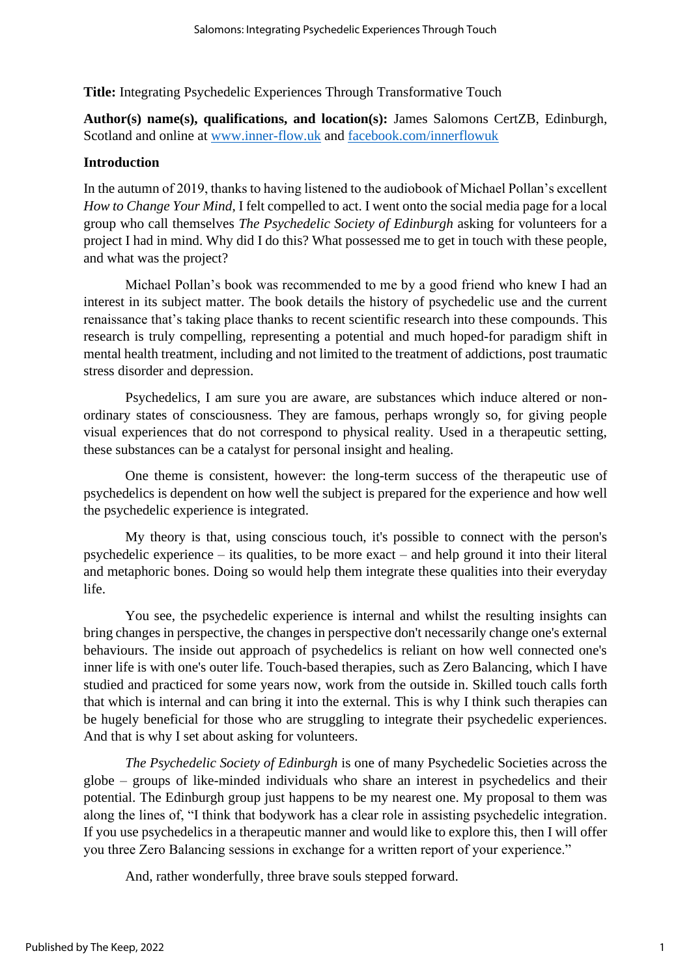**Title:** Integrating Psychedelic Experiences Through Transformative Touch

**Author(s) name(s), qualifications, and location(s):** James Salomons CertZB, Edinburgh, Scotland and online at [www.inner-flow.uk](http://www.inner-flow.uk/) and [facebook.com/innerflowuk](https://www.facebook.com/innerflowuk)

# **Introduction**

In the autumn of 2019, thanks to having listened to the audiobook of Michael Pollan's excellent *How to Change Your Mind*, I felt compelled to act. I went onto the social media page for a local group who call themselves *The Psychedelic Society of Edinburgh* asking for volunteers for a project I had in mind. Why did I do this? What possessed me to get in touch with these people, and what was the project?

Michael Pollan's book was recommended to me by a good friend who knew I had an interest in its subject matter. The book details the history of psychedelic use and the current renaissance that's taking place thanks to recent scientific research into these compounds. This research is truly compelling, representing a potential and much hoped-for paradigm shift in mental health treatment, including and not limited to the treatment of addictions, post traumatic stress disorder and depression.

Psychedelics, I am sure you are aware, are substances which induce altered or nonordinary states of consciousness. They are famous, perhaps wrongly so, for giving people visual experiences that do not correspond to physical reality. Used in a therapeutic setting, these substances can be a catalyst for personal insight and healing.

One theme is consistent, however: the long-term success of the therapeutic use of psychedelics is dependent on how well the subject is prepared for the experience and how well the psychedelic experience is integrated.

My theory is that, using conscious touch, it's possible to connect with the person's psychedelic experience – its qualities, to be more exact – and help ground it into their literal and metaphoric bones. Doing so would help them integrate these qualities into their everyday life.

You see, the psychedelic experience is internal and whilst the resulting insights can bring changes in perspective, the changes in perspective don't necessarily change one's external behaviours. The inside out approach of psychedelics is reliant on how well connected one's inner life is with one's outer life. Touch-based therapies, such as Zero Balancing, which I have studied and practiced for some years now, work from the outside in. Skilled touch calls forth that which is internal and can bring it into the external. This is why I think such therapies can be hugely beneficial for those who are struggling to integrate their psychedelic experiences. And that is why I set about asking for volunteers.

*The Psychedelic Society of Edinburgh* is one of many Psychedelic Societies across the globe – groups of like-minded individuals who share an interest in psychedelics and their potential. The Edinburgh group just happens to be my nearest one. My proposal to them was along the lines of, "I think that bodywork has a clear role in assisting psychedelic integration. If you use psychedelics in a therapeutic manner and would like to explore this, then I will offer you three Zero Balancing sessions in exchange for a written report of your experience."

And, rather wonderfully, three brave souls stepped forward.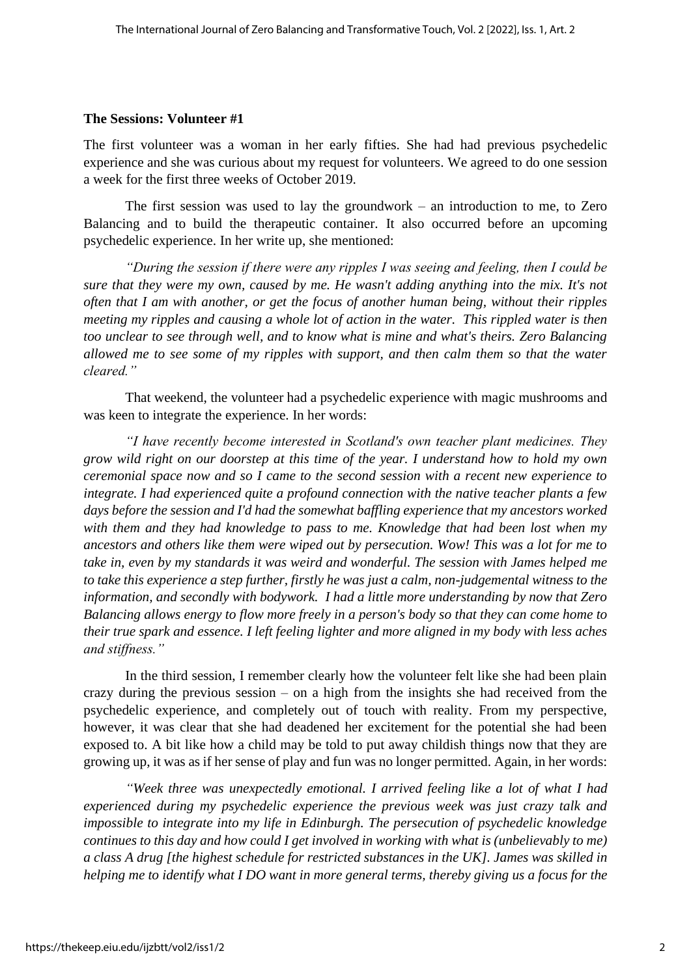#### **The Sessions: Volunteer #1**

The first volunteer was a woman in her early fifties. She had had previous psychedelic experience and she was curious about my request for volunteers. We agreed to do one session a week for the first three weeks of October 2019.

The first session was used to lay the groundwork – an introduction to me, to Zero Balancing and to build the therapeutic container. It also occurred before an upcoming psychedelic experience. In her write up, she mentioned:

*"During the session if there were any ripples I was seeing and feeling, then I could be sure that they were my own, caused by me. He wasn't adding anything into the mix. It's not often that I am with another, or get the focus of another human being, without their ripples meeting my ripples and causing a whole lot of action in the water. This rippled water is then too unclear to see through well, and to know what is mine and what's theirs. Zero Balancing allowed me to see some of my ripples with support, and then calm them so that the water cleared."*

That weekend, the volunteer had a psychedelic experience with magic mushrooms and was keen to integrate the experience. In her words:

*"I have recently become interested in Scotland's own teacher plant medicines. They grow wild right on our doorstep at this time of the year. I understand how to hold my own ceremonial space now and so I came to the second session with a recent new experience to integrate. I had experienced quite a profound connection with the native teacher plants a few days before the session and I'd had the somewhat baffling experience that my ancestors worked with them and they had knowledge to pass to me. Knowledge that had been lost when my ancestors and others like them were wiped out by persecution. Wow! This was a lot for me to take in, even by my standards it was weird and wonderful. The session with James helped me to take this experience a step further, firstly he was just a calm, non-judgemental witness to the information, and secondly with bodywork. I had a little more understanding by now that Zero Balancing allows energy to flow more freely in a person's body so that they can come home to their true spark and essence. I left feeling lighter and more aligned in my body with less aches and stiffness."*

In the third session, I remember clearly how the volunteer felt like she had been plain crazy during the previous session – on a high from the insights she had received from the psychedelic experience, and completely out of touch with reality. From my perspective, however, it was clear that she had deadened her excitement for the potential she had been exposed to. A bit like how a child may be told to put away childish things now that they are growing up, it was as if her sense of play and fun was no longer permitted. Again, in her words:

*"Week three was unexpectedly emotional. I arrived feeling like a lot of what I had experienced during my psychedelic experience the previous week was just crazy talk and impossible to integrate into my life in Edinburgh. The persecution of psychedelic knowledge continues to this day and how could I get involved in working with what is (unbelievably to me) a class A drug [the highest schedule for restricted substances in the UK]. James was skilled in helping me to identify what I DO want in more general terms, thereby giving us a focus for the*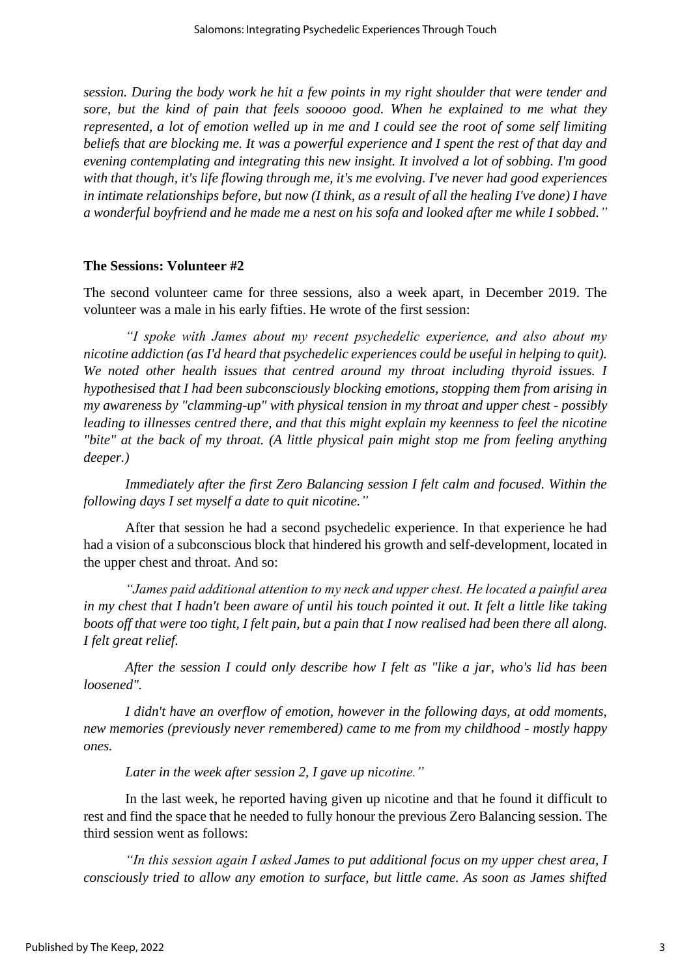*session. During the body work he hit a few points in my right shoulder that were tender and sore, but the kind of pain that feels sooooo good. When he explained to me what they represented, a lot of emotion welled up in me and I could see the root of some self limiting beliefs that are blocking me. It was a powerful experience and I spent the rest of that day and evening contemplating and integrating this new insight. It involved a lot of sobbing. I'm good with that though, it's life flowing through me, it's me evolving. I've never had good experiences in intimate relationships before, but now (I think, as a result of all the healing I've done) I have a wonderful boyfriend and he made me a nest on his sofa and looked after me while I sobbed."*

## **The Sessions: Volunteer #2**

The second volunteer came for three sessions, also a week apart, in December 2019. The volunteer was a male in his early fifties. He wrote of the first session:

*"I spoke with James about my recent psychedelic experience, and also about my nicotine addiction (as I'd heard that psychedelic experiences could be useful in helping to quit). We noted other health issues that centred around my throat including thyroid issues. I hypothesised that I had been subconsciously blocking emotions, stopping them from arising in my awareness by "clamming-up" with physical tension in my throat and upper chest - possibly leading to illnesses centred there, and that this might explain my keenness to feel the nicotine "bite" at the back of my throat. (A little physical pain might stop me from feeling anything deeper.)*

*Immediately after the first Zero Balancing session I felt calm and focused. Within the following days I set myself a date to quit nicotine."*

After that session he had a second psychedelic experience. In that experience he had had a vision of a subconscious block that hindered his growth and self-development, located in the upper chest and throat. And so:

*"James paid additional attention to my neck and upper chest. He located a painful area in my chest that I hadn't been aware of until his touch pointed it out. It felt a little like taking boots off that were too tight, I felt pain, but a pain that I now realised had been there all along. I felt great relief.*

*After the session I could only describe how I felt as "like a jar, who's lid has been loosened".*

*I didn't have an overflow of emotion, however in the following days, at odd moments, new memories (previously never remembered) came to me from my childhood - mostly happy ones.*

*Later in the week after session 2, I gave up nicotine."*

In the last week, he reported having given up nicotine and that he found it difficult to rest and find the space that he needed to fully honour the previous Zero Balancing session. The third session went as follows:

*"In this session again I asked James to put additional focus on my upper chest area, I consciously tried to allow any emotion to surface, but little came. As soon as James shifted*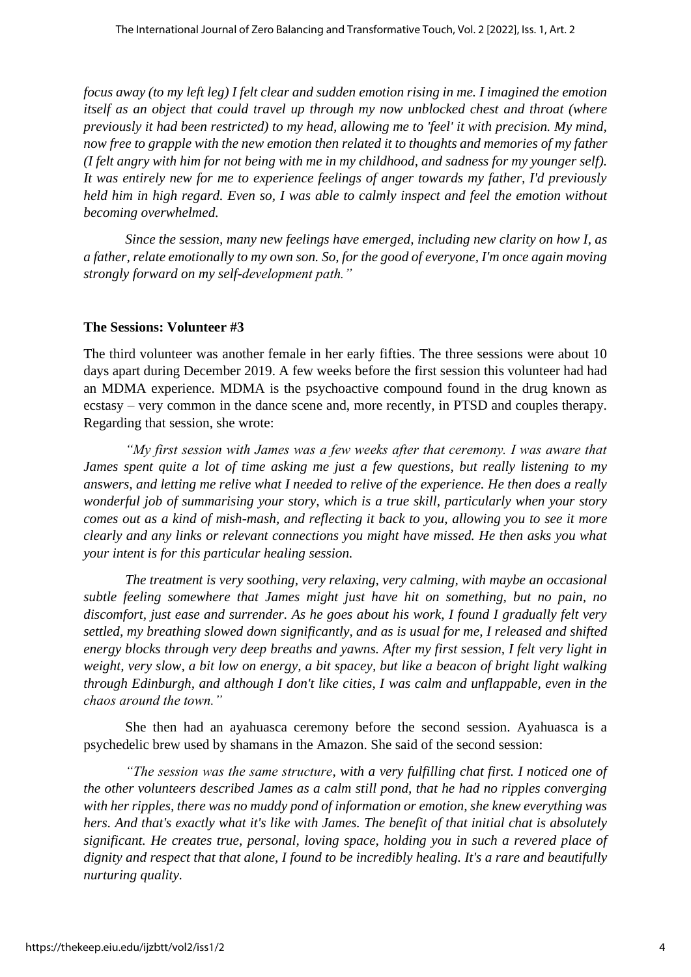*focus away (to my left leg) I felt clear and sudden emotion rising in me. I imagined the emotion itself as an object that could travel up through my now unblocked chest and throat (where previously it had been restricted) to my head, allowing me to 'feel' it with precision. My mind, now free to grapple with the new emotion then related it to thoughts and memories of my father (I felt angry with him for not being with me in my childhood, and sadness for my younger self). It was entirely new for me to experience feelings of anger towards my father, I'd previously held him in high regard. Even so, I was able to calmly inspect and feel the emotion without becoming overwhelmed.*

*Since the session, many new feelings have emerged, including new clarity on how I, as a father, relate emotionally to my own son. So, for the good of everyone, I'm once again moving strongly forward on my self-development path."*

### **The Sessions: Volunteer #3**

The third volunteer was another female in her early fifties. The three sessions were about 10 days apart during December 2019. A few weeks before the first session this volunteer had had an MDMA experience. MDMA is the psychoactive compound found in the drug known as ecstasy – very common in the dance scene and, more recently, in PTSD and couples therapy. Regarding that session, she wrote:

*"My first session with James was a few weeks after that ceremony. I was aware that James spent quite a lot of time asking me just a few questions, but really listening to my answers, and letting me relive what I needed to relive of the experience. He then does a really wonderful job of summarising your story, which is a true skill, particularly when your story comes out as a kind of mish-mash, and reflecting it back to you, allowing you to see it more clearly and any links or relevant connections you might have missed. He then asks you what your intent is for this particular healing session.*

*The treatment is very soothing, very relaxing, very calming, with maybe an occasional subtle feeling somewhere that James might just have hit on something, but no pain, no discomfort, just ease and surrender. As he goes about his work, I found I gradually felt very settled, my breathing slowed down significantly, and as is usual for me, I released and shifted energy blocks through very deep breaths and yawns. After my first session, I felt very light in weight, very slow, a bit low on energy, a bit spacey, but like a beacon of bright light walking through Edinburgh, and although I don't like cities, I was calm and unflappable, even in the chaos around the town."*

She then had an ayahuasca ceremony before the second session. Ayahuasca is a psychedelic brew used by shamans in the Amazon. She said of the second session:

*"The session was the same structure, with a very fulfilling chat first. I noticed one of the other volunteers described James as a calm still pond, that he had no ripples converging with her ripples, there was no muddy pond of information or emotion, she knew everything was hers. And that's exactly what it's like with James. The benefit of that initial chat is absolutely significant. He creates true, personal, loving space, holding you in such a revered place of dignity and respect that that alone, I found to be incredibly healing. It's a rare and beautifully nurturing quality.*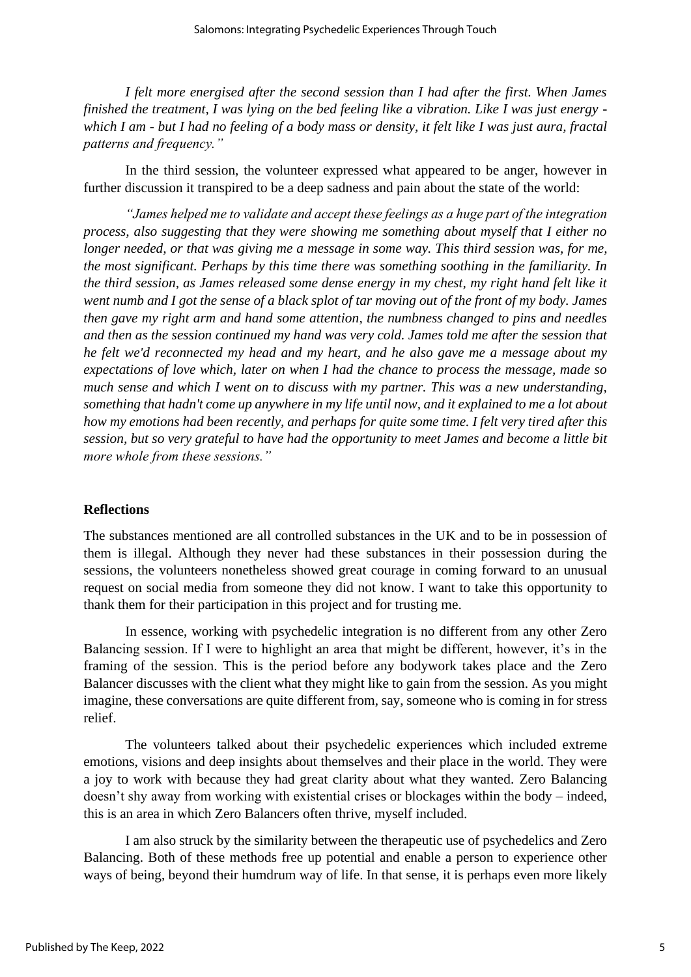*I felt more energised after the second session than I had after the first. When James finished the treatment, I was lying on the bed feeling like a vibration. Like I was just energy which I am - but I had no feeling of a body mass or density, it felt like I was just aura, fractal patterns and frequency."*

In the third session, the volunteer expressed what appeared to be anger, however in further discussion it transpired to be a deep sadness and pain about the state of the world:

*"James helped me to validate and accept these feelings as a huge part of the integration process, also suggesting that they were showing me something about myself that I either no longer needed, or that was giving me a message in some way. This third session was, for me, the most significant. Perhaps by this time there was something soothing in the familiarity. In the third session, as James released some dense energy in my chest, my right hand felt like it went numb and I got the sense of a black splot of tar moving out of the front of my body. James then gave my right arm and hand some attention, the numbness changed to pins and needles and then as the session continued my hand was very cold. James told me after the session that he felt we'd reconnected my head and my heart, and he also gave me a message about my expectations of love which, later on when I had the chance to process the message, made so much sense and which I went on to discuss with my partner. This was a new understanding, something that hadn't come up anywhere in my life until now, and it explained to me a lot about how my emotions had been recently, and perhaps for quite some time. I felt very tired after this session, but so very grateful to have had the opportunity to meet James and become a little bit more whole from these sessions."*

#### **Reflections**

The substances mentioned are all controlled substances in the UK and to be in possession of them is illegal. Although they never had these substances in their possession during the sessions, the volunteers nonetheless showed great courage in coming forward to an unusual request on social media from someone they did not know. I want to take this opportunity to thank them for their participation in this project and for trusting me.

In essence, working with psychedelic integration is no different from any other Zero Balancing session. If I were to highlight an area that might be different, however, it's in the framing of the session. This is the period before any bodywork takes place and the Zero Balancer discusses with the client what they might like to gain from the session. As you might imagine, these conversations are quite different from, say, someone who is coming in for stress relief.

The volunteers talked about their psychedelic experiences which included extreme emotions, visions and deep insights about themselves and their place in the world. They were a joy to work with because they had great clarity about what they wanted. Zero Balancing doesn't shy away from working with existential crises or blockages within the body – indeed, this is an area in which Zero Balancers often thrive, myself included.

I am also struck by the similarity between the therapeutic use of psychedelics and Zero Balancing. Both of these methods free up potential and enable a person to experience other ways of being, beyond their humdrum way of life. In that sense, it is perhaps even more likely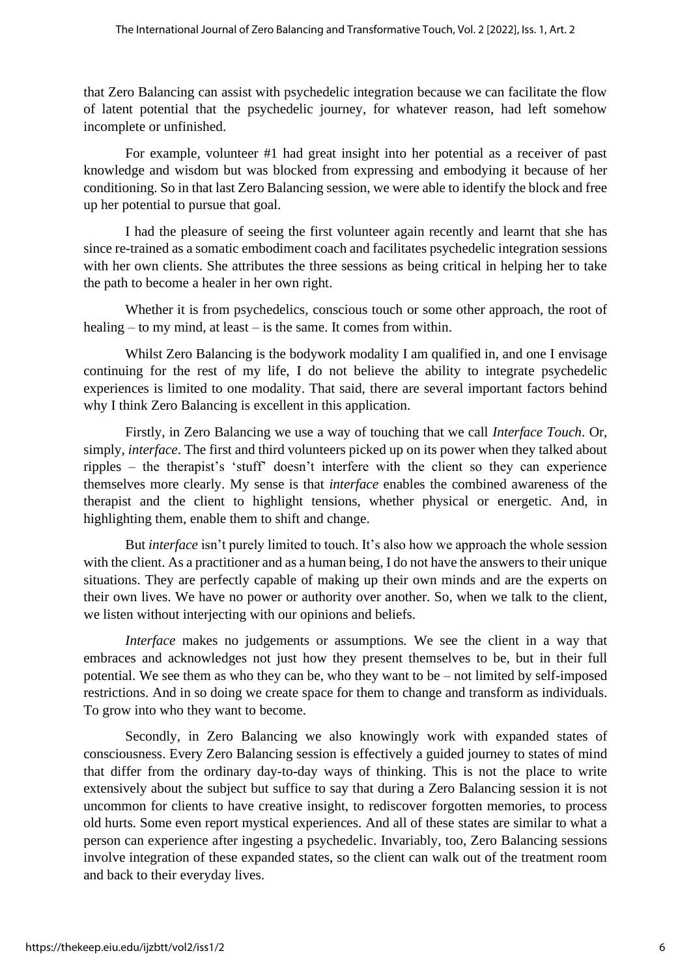that Zero Balancing can assist with psychedelic integration because we can facilitate the flow of latent potential that the psychedelic journey, for whatever reason, had left somehow incomplete or unfinished.

For example, volunteer #1 had great insight into her potential as a receiver of past knowledge and wisdom but was blocked from expressing and embodying it because of her conditioning. So in that last Zero Balancing session, we were able to identify the block and free up her potential to pursue that goal.

I had the pleasure of seeing the first volunteer again recently and learnt that she has since re-trained as a somatic embodiment coach and facilitates psychedelic integration sessions with her own clients. She attributes the three sessions as being critical in helping her to take the path to become a healer in her own right.

Whether it is from psychedelics, conscious touch or some other approach, the root of healing – to my mind, at least – is the same. It comes from within.

Whilst Zero Balancing is the bodywork modality I am qualified in, and one I envisage continuing for the rest of my life, I do not believe the ability to integrate psychedelic experiences is limited to one modality. That said, there are several important factors behind why I think Zero Balancing is excellent in this application.

Firstly, in Zero Balancing we use a way of touching that we call *Interface Touch*. Or, simply, *interface*. The first and third volunteers picked up on its power when they talked about ripples – the therapist's 'stuff' doesn't interfere with the client so they can experience themselves more clearly. My sense is that *interface* enables the combined awareness of the therapist and the client to highlight tensions, whether physical or energetic. And, in highlighting them, enable them to shift and change.

But *interface* isn't purely limited to touch. It's also how we approach the whole session with the client. As a practitioner and as a human being, I do not have the answers to their unique situations. They are perfectly capable of making up their own minds and are the experts on their own lives. We have no power or authority over another. So, when we talk to the client, we listen without interjecting with our opinions and beliefs.

*Interface* makes no judgements or assumptions. We see the client in a way that embraces and acknowledges not just how they present themselves to be, but in their full potential. We see them as who they can be, who they want to be – not limited by self-imposed restrictions. And in so doing we create space for them to change and transform as individuals. To grow into who they want to become.

Secondly, in Zero Balancing we also knowingly work with expanded states of consciousness. Every Zero Balancing session is effectively a guided journey to states of mind that differ from the ordinary day-to-day ways of thinking. This is not the place to write extensively about the subject but suffice to say that during a Zero Balancing session it is not uncommon for clients to have creative insight, to rediscover forgotten memories, to process old hurts. Some even report mystical experiences. And all of these states are similar to what a person can experience after ingesting a psychedelic. Invariably, too, Zero Balancing sessions involve integration of these expanded states, so the client can walk out of the treatment room and back to their everyday lives.